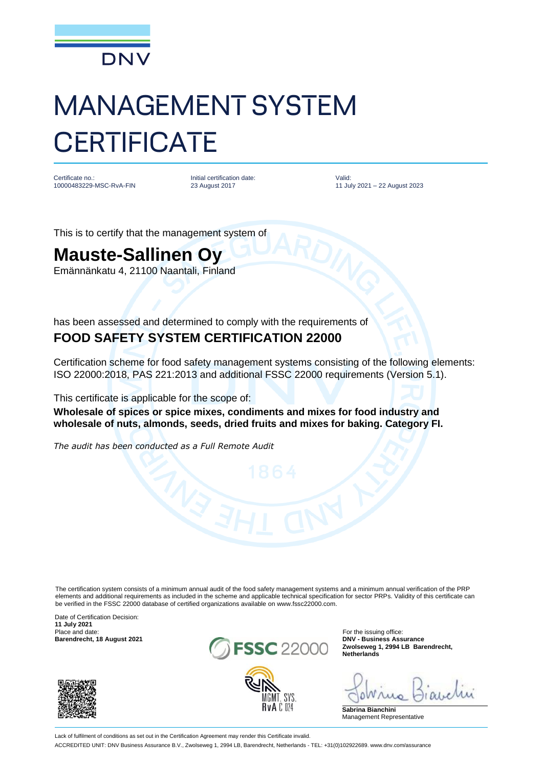

## MANAGEMENT SYSTEM **CERTIFICATE**

Certificate no.: 10000483229-MSC-RvA-FIN Initial certification date: 23 August 2017

Valid: 11 July 2021 – 22 August 2023

This is to certify that the management system of

## **Mauste-Sallinen Oy**

Emännänkatu 4, 21100 Naantali, Finland

has been assessed and determined to comply with the requirements of **FOOD SAFETY SYSTEM CERTIFICATION 22000**

Certification scheme for food safety management systems consisting of the following elements: ISO 22000:2018, PAS 221:2013 and additional FSSC 22000 requirements (Version 5.1).

This certificate is applicable for the scope of:

**Wholesale of spices or spice mixes, condiments and mixes for food industry and wholesale of nuts, almonds, seeds, dried fruits and mixes for baking. Category FI.**

*The audit has been conducted as a Full Remote Audit*

The certification system consists of a minimum annual audit of the food safety management systems and a minimum annual verification of the PRP elements and additional requirements as included in the scheme and applicable technical specification for sector PRPs. Validity of this certificate can be verified in the FSSC 22000 database of certified organizations available on www.fssc22000.com.

Date of Certification Decision: **11 July 2021**





For the issuing office:<br>DNV - Business Assurance **Zwolseweg 1, 2994 LB Barendrecht, Netherlands**

**Sabrina Bianchini** Management Representative

Lack of fulfilment of conditions as set out in the Certification Agreement may render this Certificate invalid. ACCREDITED UNIT: DNV Business Assurance B.V., Zwolseweg 1, 2994 LB, Barendrecht, Netherlands - TEL: +31(0)102922689. www.dnv.com/assurance